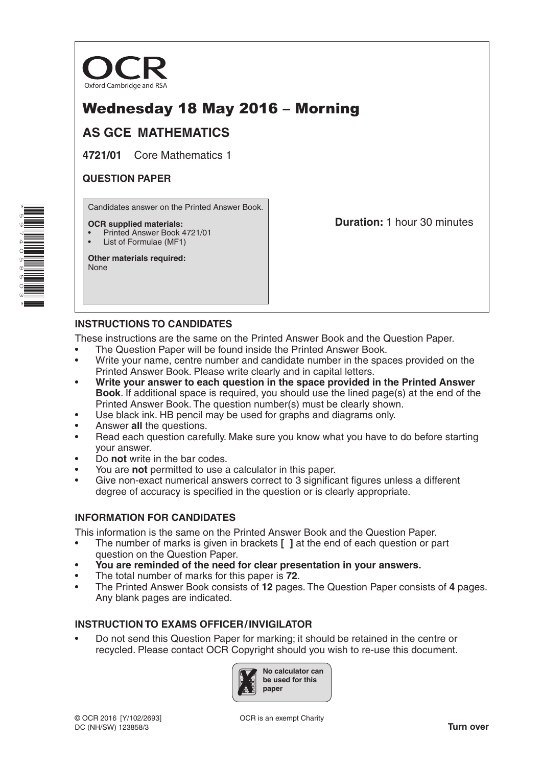

# Wednesday 18 May 2016 – Morning

# **AS GCE MATHEMATICS**

**4721/01** Core Mathematics 1

## **QUESTION PAPER**

Candidates answer on the Printed Answer Book.

#### **OCR supplied materials:**

- Printed Answer Book 4721/01
- List of Formulae (MF1)

**Other materials required:** None

**Duration:** 1 hour 30 minutes

# **INSTRUCTIONS TO CANDIDATES**

These instructions are the same on the Printed Answer Book and the Question Paper.

- The Question Paper will be found inside the Printed Answer Book.
- Write your name, centre number and candidate number in the spaces provided on the Printed Answer Book. Please write clearly and in capital letters.
- **Write your answer to each question in the space provided in the Printed Answer Book**. If additional space is required, you should use the lined page(s) at the end of the Printed Answer Book. The question number(s) must be clearly shown.
- Use black ink. HB pencil may be used for graphs and diagrams only.
- Answer **all** the questions.
- Read each question carefully. Make sure you know what you have to do before starting your answer.
- Do **not** write in the bar codes.
- You are **not** permitted to use a calculator in this paper.
- Give non-exact numerical answers correct to 3 significant figures unless a different degree of accuracy is specified in the question or is clearly appropriate.

## **INFORMATION FOR CANDIDATES**

This information is the same on the Printed Answer Book and the Question Paper.

- The number of marks is given in brackets **[ ]** at the end of each question or part question on the Question Paper.
- **You are reminded of the need for clear presentation in your answers.**
- The total number of marks for this paper is **72**.
- The Printed Answer Book consists of **12** pages. The Question Paper consists of **4** pages. Any blank pages are indicated.

### **INSTRUCTION TO EXAMS OFFICER/INVIGILATOR**

• Do not send this Question Paper for marking; it should be retained in the centre or recycled. Please contact OCR Copyright should you wish to re-use this document.



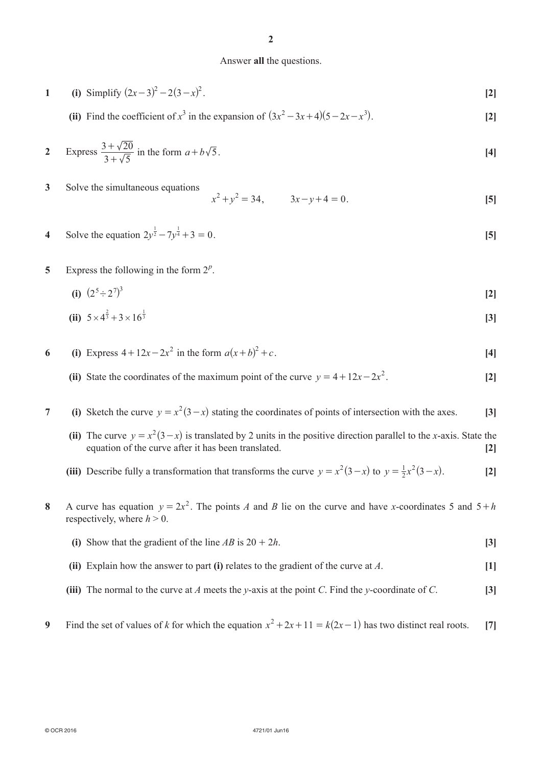#### Answer **all** the questions.

1 (i) Simplify 
$$
(2x-3)^2 - 2(3-x)^2
$$
. [2]

(ii) Find the coefficient of  $x^3$  in the expansion of  $(3x^2 - 3x + 4)(5 - 2x - x^3)$ . [2]

2 Express 
$$
\frac{3+\sqrt{20}}{3+\sqrt{5}}
$$
 in the form  $a+b\sqrt{5}$ . [4]

**3** Solve the simultaneous equations

$$
x^2 + y^2 = 34, \t 3x - y + 4 = 0.
$$
 [5]

- **4** Solve the equation  $2y^{\frac{1}{2}} 7y^{\frac{1}{4}} + 3 = 0$ . [5]
- **5** Express the following in the form  $2^p$ .

(i) 
$$
(2^5 \div 2^7)^3
$$
 [2]

(ii) 
$$
5 \times 4^{\frac{2}{3}} + 3 \times 16^{\frac{1}{3}}
$$
 [3]

- **6** (i) Express  $4 + 12x 2x^2$  in the form  $a(x+b)^2 + c$ . [4]
- (ii) State the coordinates of the maximum point of the curve  $y = 4 + 12x 2x^2$ . [2]

# **7** (i) Sketch the curve  $y = x^2(3-x)$  stating the coordinates of points of intersection with the axes. [3]

- (ii) The curve  $y = x^2(3-x)$  is translated by 2 units in the positive direction parallel to the *x*-axis. State the equation of the curve after it has been translated. **[2]**
- (iii) Describe fully a transformation that transforms the curve  $y = x^2(3-x)$  to  $y = \frac{1}{2}x^2(3-x)$ . [2]
- **8** A curve has equation  $y = 2x^2$ . The points *A* and *B* lie on the curve and have *x*-coordinates 5 and  $5 + h$ respectively, where  $h > 0$ .
	- **(i)** Show that the gradient of the line  $AB$  is  $20 + 2h$ . **[3]**
	- **(ii)** Explain how the answer to part **(i)** relates to the gradient of the curve at *A*. [1]
	- **(iii)** The normal to the curve at *A* meets the *y*-axis at the point *C*. Find the *y*-coordinate of *C*.  $[3]$
- **9** Find the set of values of *k* for which the equation  $x^2 + 2x + 11 = k(2x 1)$  has two distinct real roots. [7]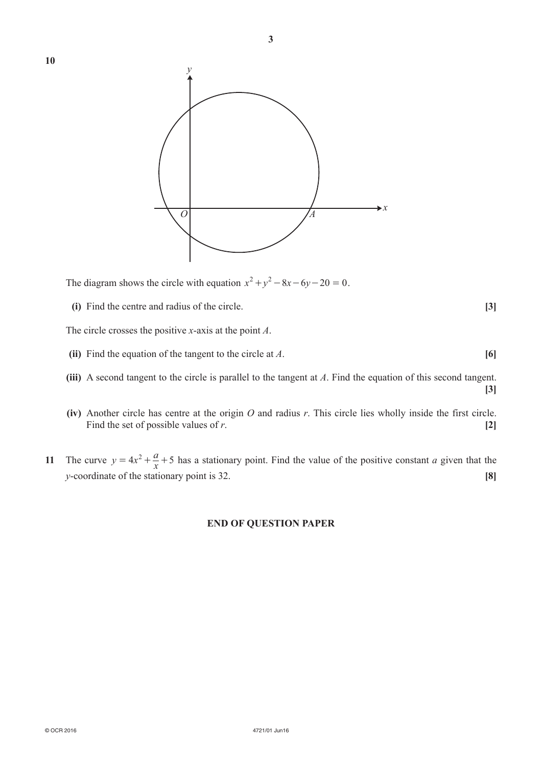

**3**

The diagram shows the circle with equation  $x^2 + y^2 - 8x - 6y - 20 = 0$ .

**(i)** Find the centre and radius of the circle. **[3]** 

The circle crosses the positive *x*-axis at the point *A*.

- *(ii)* Find the equation of the tangent to the circle at *A*. **[6]**
- **(iii)** A second tangent to the circle is parallel to the tangent at *A*. Find the equation of this second tangent.
- $(iv)$  Another circle has centre at the origin *O* and radius *r*. This circle lies wholly inside the first circle. Find the set of possible values of *r*. **[2]**
- **11** The curve  $y = 4x^2 + \frac{a}{x} + 5$  has a stationary point. Find the value of the positive constant *a* given that the *y*-coordinate of the stationary point is 32. **[8]**

### **END OF QUESTION PAPER**

**[3]**